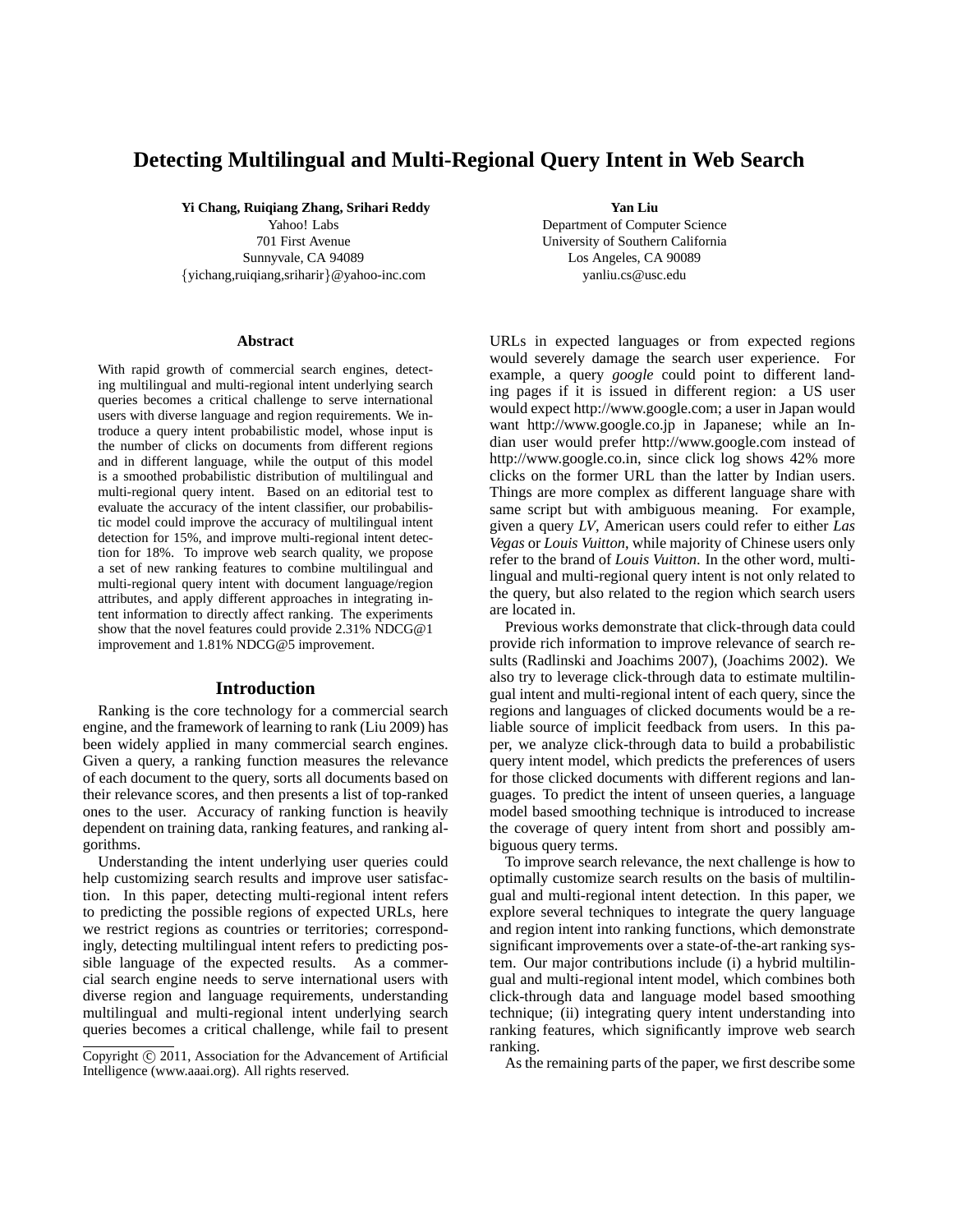## **Detecting Multilingual and Multi-Regional Query Intent in Web Search**

**Yi Chang, Ruiqiang Zhang, Srihari Reddy**

Yahoo! Labs 701 First Avenue Sunnyvale, CA 94089 {yichang,ruiqiang,sriharir}@yahoo-inc.com

#### **Abstract**

With rapid growth of commercial search engines, detecting multilingual and multi-regional intent underlying search queries becomes a critical challenge to serve international users with diverse language and region requirements. We introduce a query intent probabilistic model, whose input is the number of clicks on documents from different regions and in different language, while the output of this model is a smoothed probabilistic distribution of multilingual and multi-regional query intent. Based on an editorial test to evaluate the accuracy of the intent classifier, our probabilistic model could improve the accuracy of multilingual intent detection for 15%, and improve multi-regional intent detection for 18%. To improve web search quality, we propose a set of new ranking features to combine multilingual and multi-regional query intent with document language/region attributes, and apply different approaches in integrating intent information to directly affect ranking. The experiments show that the novel features could provide 2.31% NDCG@1 improvement and 1.81% NDCG@5 improvement.

#### **Introduction**

Ranking is the core technology for a commercial search engine, and the framework of learning to rank (Liu 2009) has been widely applied in many commercial search engines. Given a query, a ranking function measures the relevance of each document to the query, sorts all documents based on their relevance scores, and then presents a list of top-ranked ones to the user. Accuracy of ranking function is heavily dependent on training data, ranking features, and ranking algorithms.

Understanding the intent underlying user queries could help customizing search results and improve user satisfaction. In this paper, detecting multi-regional intent refers to predicting the possible regions of expected URLs, here we restrict regions as countries or territories; correspondingly, detecting multilingual intent refers to predicting possible language of the expected results. As a commercial search engine needs to serve international users with diverse region and language requirements, understanding multilingual and multi-regional intent underlying search queries becomes a critical challenge, while fail to present

**Yan Liu**

Department of Computer Science University of Southern California Los Angeles, CA 90089 yanliu.cs@usc.edu

URLs in expected languages or from expected regions would severely damage the search user experience. For example, a query *google* could point to different landing pages if it is issued in different region: a US user would expect http://www.google.com; a user in Japan would want http://www.google.co.jp in Japanese; while an Indian user would prefer http://www.google.com instead of http://www.google.co.in, since click log shows 42% more clicks on the former URL than the latter by Indian users. Things are more complex as different language share with same script but with ambiguous meaning. For example, given a query *LV*, American users could refer to either *Las Vegas* or *Louis Vuitton*, while majority of Chinese users only refer to the brand of *Louis Vuitton*. In the other word, multilingual and multi-regional query intent is not only related to the query, but also related to the region which search users are located in.

Previous works demonstrate that click-through data could provide rich information to improve relevance of search results (Radlinski and Joachims 2007), (Joachims 2002). We also try to leverage click-through data to estimate multilingual intent and multi-regional intent of each query, since the regions and languages of clicked documents would be a reliable source of implicit feedback from users. In this paper, we analyze click-through data to build a probabilistic query intent model, which predicts the preferences of users for those clicked documents with different regions and languages. To predict the intent of unseen queries, a language model based smoothing technique is introduced to increase the coverage of query intent from short and possibly ambiguous query terms.

To improve search relevance, the next challenge is how to optimally customize search results on the basis of multilingual and multi-regional intent detection. In this paper, we explore several techniques to integrate the query language and region intent into ranking functions, which demonstrate significant improvements over a state-of-the-art ranking system. Our major contributions include (i) a hybrid multilingual and multi-regional intent model, which combines both click-through data and language model based smoothing technique; (ii) integrating query intent understanding into ranking features, which significantly improve web search ranking.

As the remaining parts of the paper, we first describe some

Copyright  $\odot$  2011, Association for the Advancement of Artificial Intelligence (www.aaai.org). All rights reserved.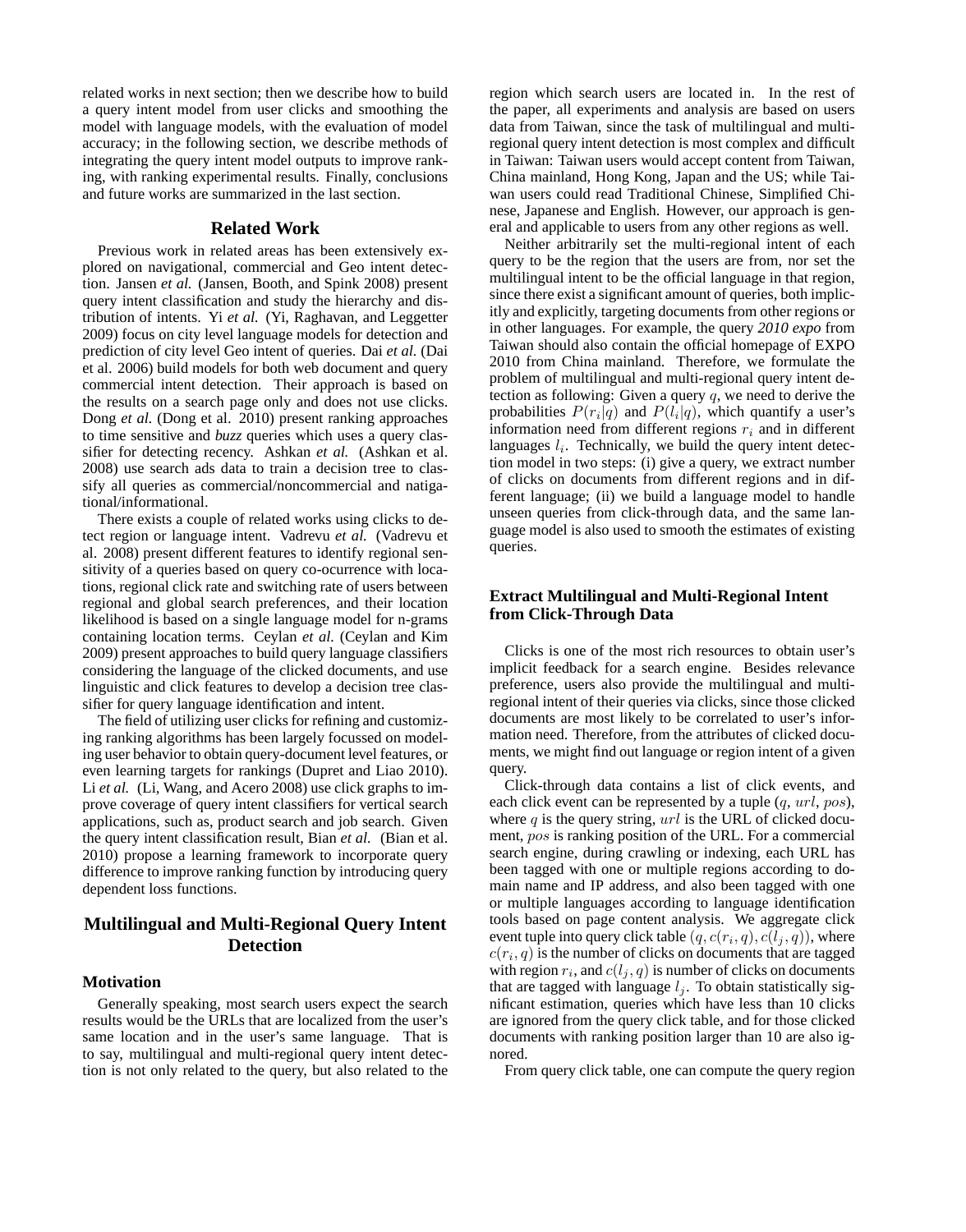related works in next section; then we describe how to build a query intent model from user clicks and smoothing the model with language models, with the evaluation of model accuracy; in the following section, we describe methods of integrating the query intent model outputs to improve ranking, with ranking experimental results. Finally, conclusions and future works are summarized in the last section.

#### **Related Work**

Previous work in related areas has been extensively explored on navigational, commercial and Geo intent detection. Jansen *et al.* (Jansen, Booth, and Spink 2008) present query intent classification and study the hierarchy and distribution of intents. Yi *et al.* (Yi, Raghavan, and Leggetter 2009) focus on city level language models for detection and prediction of city level Geo intent of queries. Dai *et al.* (Dai et al. 2006) build models for both web document and query commercial intent detection. Their approach is based on the results on a search page only and does not use clicks. Dong *et al.* (Dong et al. 2010) present ranking approaches to time sensitive and *buzz* queries which uses a query classifier for detecting recency. Ashkan *et al.* (Ashkan et al. 2008) use search ads data to train a decision tree to classify all queries as commercial/noncommercial and natigational/informational.

There exists a couple of related works using clicks to detect region or language intent. Vadrevu *et al.* (Vadrevu et al. 2008) present different features to identify regional sensitivity of a queries based on query co-ocurrence with locations, regional click rate and switching rate of users between regional and global search preferences, and their location likelihood is based on a single language model for n-grams containing location terms. Ceylan *et al.* (Ceylan and Kim 2009) present approaches to build query language classifiers considering the language of the clicked documents, and use linguistic and click features to develop a decision tree classifier for query language identification and intent.

The field of utilizing user clicks for refining and customizing ranking algorithms has been largely focussed on modeling user behavior to obtain query-document level features, or even learning targets for rankings (Dupret and Liao 2010). Li *et al.* (Li, Wang, and Acero 2008) use click graphs to improve coverage of query intent classifiers for vertical search applications, such as, product search and job search. Given the query intent classification result, Bian *et al.* (Bian et al. 2010) propose a learning framework to incorporate query difference to improve ranking function by introducing query dependent loss functions.

## **Multilingual and Multi-Regional Query Intent Detection**

#### **Motivation**

Generally speaking, most search users expect the search results would be the URLs that are localized from the user's same location and in the user's same language. That is to say, multilingual and multi-regional query intent detection is not only related to the query, but also related to the region which search users are located in. In the rest of the paper, all experiments and analysis are based on users data from Taiwan, since the task of multilingual and multiregional query intent detection is most complex and difficult in Taiwan: Taiwan users would accept content from Taiwan, China mainland, Hong Kong, Japan and the US; while Taiwan users could read Traditional Chinese, Simplified Chinese, Japanese and English. However, our approach is general and applicable to users from any other regions as well.

Neither arbitrarily set the multi-regional intent of each query to be the region that the users are from, nor set the multilingual intent to be the official language in that region, since there exist a significant amount of queries, both implicitly and explicitly, targeting documents from other regions or in other languages. For example, the query *2010 expo* from Taiwan should also contain the official homepage of EXPO 2010 from China mainland. Therefore, we formulate the problem of multilingual and multi-regional query intent detection as following: Given a query  $q$ , we need to derive the probabilities  $P(r_i|q)$  and  $P(l_i|q)$ , which quantify a user's information need from different regions  $r_i$  and in different languages  $l_i$ . Technically, we build the query intent detection model in two steps: (i) give a query, we extract number of clicks on documents from different regions and in different language; (ii) we build a language model to handle unseen queries from click-through data, and the same language model is also used to smooth the estimates of existing queries.

## **Extract Multilingual and Multi-Regional Intent from Click-Through Data**

Clicks is one of the most rich resources to obtain user's implicit feedback for a search engine. Besides relevance preference, users also provide the multilingual and multiregional intent of their queries via clicks, since those clicked documents are most likely to be correlated to user's information need. Therefore, from the attributes of clicked documents, we might find out language or region intent of a given query.

Click-through data contains a list of click events, and each click event can be represented by a tuple  $(q, url, pos)$ , where  $q$  is the query string,  $url$  is the URL of clicked document, pos is ranking position of the URL. For a commercial search engine, during crawling or indexing, each URL has been tagged with one or multiple regions according to domain name and IP address, and also been tagged with one or multiple languages according to language identification tools based on page content analysis. We aggregate click event tuple into query click table  $(q, c(r_i, q), c(l_j, q))$ , where  $c(r_i, q)$  is the number of clicks on documents that are tagged with region  $r_i$ , and  $c(l_j, q)$  is number of clicks on documents that are tagged with language  $l_j$ . To obtain statistically significant estimation, queries which have less than 10 clicks are ignored from the query click table, and for those clicked documents with ranking position larger than 10 are also ignored.

From query click table, one can compute the query region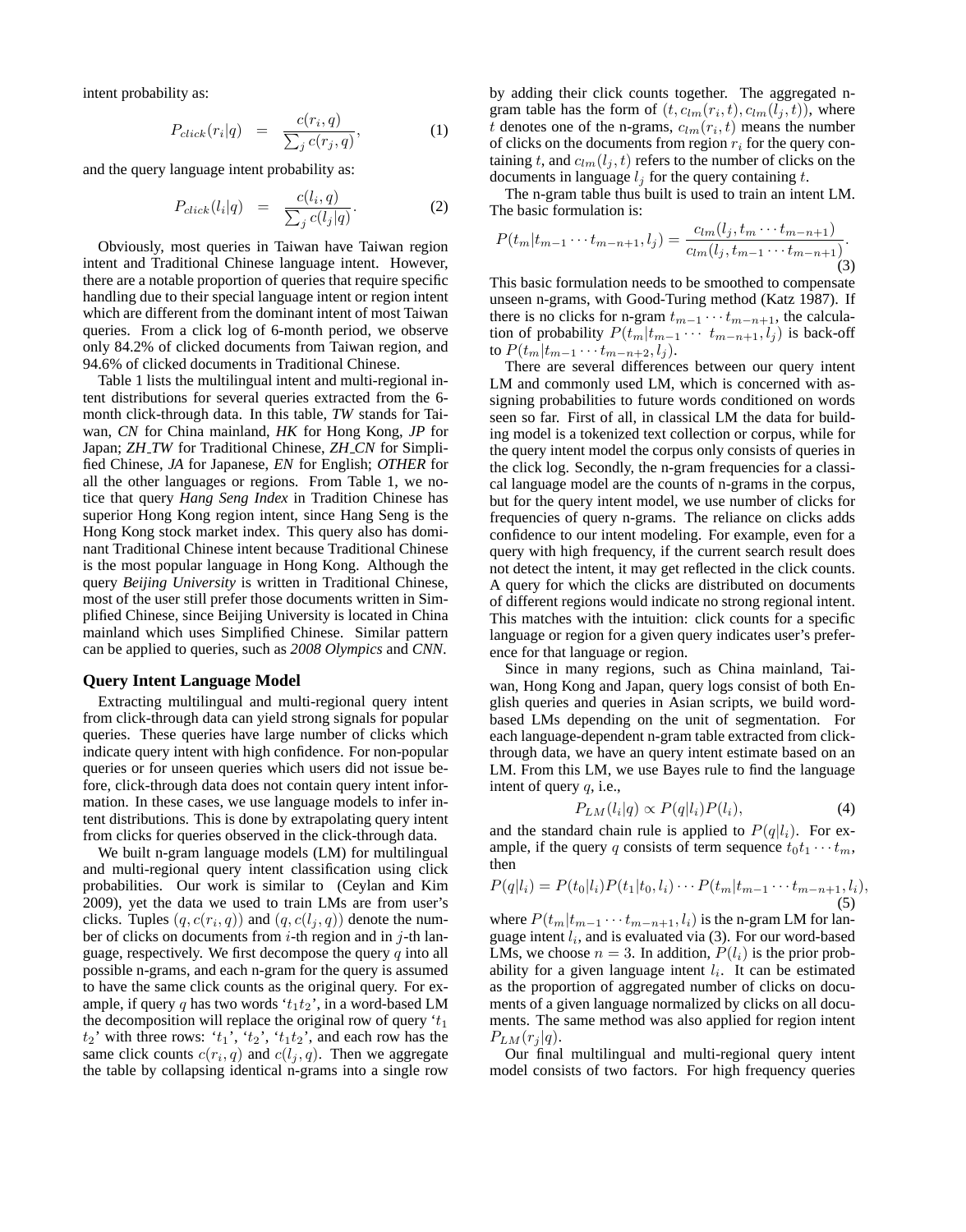intent probability as:

$$
P_{click}(r_i|q) = \frac{c(r_i, q)}{\sum_j c(r_j, q)}, \qquad (1)
$$

and the query language intent probability as:

$$
P_{click}(l_i|q) = \frac{c(l_i, q)}{\sum_j c(l_j|q)}.
$$
 (2)

Obviously, most queries in Taiwan have Taiwan region intent and Traditional Chinese language intent. However, there are a notable proportion of queries that require specific handling due to their special language intent or region intent which are different from the dominant intent of most Taiwan queries. From a click log of 6-month period, we observe only 84.2% of clicked documents from Taiwan region, and 94.6% of clicked documents in Traditional Chinese.

Table 1 lists the multilingual intent and multi-regional intent distributions for several queries extracted from the 6 month click-through data. In this table, *TW* stands for Taiwan, *CN* for China mainland, *HK* for Hong Kong, *JP* for Japan; *ZH TW* for Traditional Chinese, *ZH CN* for Simplified Chinese, *JA* for Japanese, *EN* for English; *OTHER* for all the other languages or regions. From Table 1, we notice that query *Hang Seng Index* in Tradition Chinese has superior Hong Kong region intent, since Hang Seng is the Hong Kong stock market index. This query also has dominant Traditional Chinese intent because Traditional Chinese is the most popular language in Hong Kong. Although the query *Beijing University* is written in Traditional Chinese, most of the user still prefer those documents written in Simplified Chinese, since Beijing University is located in China mainland which uses Simplified Chinese. Similar pattern can be applied to queries, such as *2008 Olympics* and *CNN*.

#### **Query Intent Language Model**

Extracting multilingual and multi-regional query intent from click-through data can yield strong signals for popular queries. These queries have large number of clicks which indicate query intent with high confidence. For non-popular queries or for unseen queries which users did not issue before, click-through data does not contain query intent information. In these cases, we use language models to infer intent distributions. This is done by extrapolating query intent from clicks for queries observed in the click-through data.

We built n-gram language models (LM) for multilingual and multi-regional query intent classification using click probabilities. Our work is similar to (Ceylan and Kim 2009), yet the data we used to train LMs are from user's clicks. Tuples  $(q, c(r_i, q))$  and  $(q, c(l_j, q))$  denote the number of clicks on documents from  $i$ -th region and in  $j$ -th language, respectively. We first decompose the query  $q$  into all possible n-grams, and each n-gram for the query is assumed to have the same click counts as the original query. For example, if query q has two words ' $t_1t_2$ ', in a word-based LM the decomposition will replace the original row of query  $t_1$  $t_2$ ' with three rows: ' $t_1$ ', ' $t_2$ ', ' $t_1t_2$ ', and each row has the same click counts  $c(r_i, q)$  and  $c(l_j, q)$ . Then we aggregate the table by collapsing identical n-grams into a single row

by adding their click counts together. The aggregated ngram table has the form of  $(t, c_{lm}(r_i, t), c_{lm}(l_j, t))$ , where t denotes one of the n-grams,  $c_{lm}(r_i, t)$  means the number of clicks on the documents from region  $r_i$  for the query containing t, and  $c_{lm}(l_j, t)$  refers to the number of clicks on the documents in language  $l_i$  for the query containing t.

The n-gram table thus built is used to train an intent LM. The basic formulation is:

$$
P(t_m|t_{m-1}\cdots t_{m-n+1}, l_j) = \frac{c_{lm}(l_j, t_m\cdots t_{m-n+1})}{c_{lm}(l_j, t_{m-1}\cdots t_{m-n+1})}.
$$
\n(3)

This basic formulation needs to be smoothed to compensate unseen n-grams, with Good-Turing method (Katz 1987). If there is no clicks for n-gram  $t_{m-1} \cdots t_{m-n+1}$ , the calculation of probability  $P(t_m|t_{m-1} \cdots t_{m-n+1}, l_j)$  is back-off to  $P(t_m|t_{m-1}\cdots t_{m-n+2}, l_j)$ .

There are several differences between our query intent LM and commonly used LM, which is concerned with assigning probabilities to future words conditioned on words seen so far. First of all, in classical LM the data for building model is a tokenized text collection or corpus, while for the query intent model the corpus only consists of queries in the click log. Secondly, the n-gram frequencies for a classical language model are the counts of n-grams in the corpus, but for the query intent model, we use number of clicks for frequencies of query n-grams. The reliance on clicks adds confidence to our intent modeling. For example, even for a query with high frequency, if the current search result does not detect the intent, it may get reflected in the click counts. A query for which the clicks are distributed on documents of different regions would indicate no strong regional intent. This matches with the intuition: click counts for a specific language or region for a given query indicates user's preference for that language or region.

Since in many regions, such as China mainland, Taiwan, Hong Kong and Japan, query logs consist of both English queries and queries in Asian scripts, we build wordbased LMs depending on the unit of segmentation. For each language-dependent n-gram table extracted from clickthrough data, we have an query intent estimate based on an LM. From this LM, we use Bayes rule to find the language intent of query  $q$ , i.e.,

$$
P_{LM}(l_i|q) \propto P(q|l_i)P(l_i),\tag{4}
$$

and the standard chain rule is applied to  $P(q|l_i)$ . For example, if the query q consists of term sequence  $t_0t_1 \cdots t_m$ , then

$$
P(q|l_i) = P(t_0|l_i)P(t_1|t_0,l_i)\cdots P(t_m|t_{m-1}\cdots t_{m-n+1},l_i),
$$
\n(5)

where  $P(t_m|t_{m-1} \cdots t_{m-n+1}, l_i)$  is the n-gram LM for language intent  $l_i$ , and is evaluated via (3). For our word-based LMs, we choose  $n = 3$ . In addition,  $P(l_i)$  is the prior probability for a given language intent  $l_i$ . It can be estimated as the proportion of aggregated number of clicks on documents of a given language normalized by clicks on all documents. The same method was also applied for region intent  $P_{LM}(r_i|q).$ 

Our final multilingual and multi-regional query intent model consists of two factors. For high frequency queries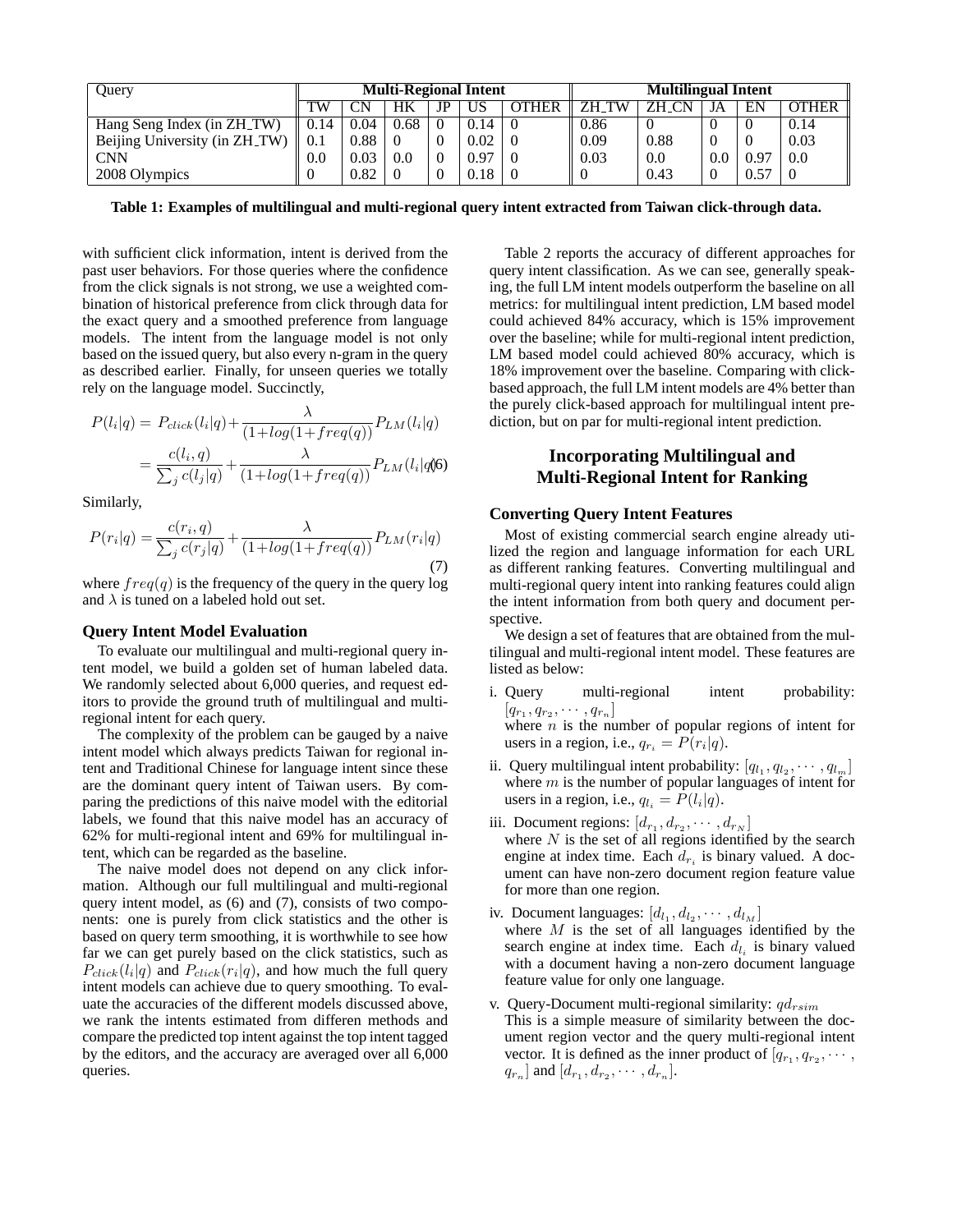| Ouery                         | <b>Multi-Regional Intent</b> |          |      |    |      | <b>Multilingual Intent</b> |              |              |     |      |              |
|-------------------------------|------------------------------|----------|------|----|------|----------------------------|--------------|--------------|-----|------|--------------|
|                               | TW                           | $\cap$ N | HК   | JP | US   | OTHER                      | <b>ZH TW</b> | <b>ZH CN</b> | JA  | EN   | <b>OTHER</b> |
| Hang Seng Index (in ZH_TW)    | 0.14                         | 0.04     | 0.68 |    | 0.14 |                            | 0.86         |              |     |      | 0.14         |
| Beijing University (in ZH_TW) | 0.1                          | 0.88     |      |    | 0.02 |                            | 0.09         | 0.88         |     |      | 0.03         |
| <b>CNN</b>                    | 0.0                          | 0.03     | 0.0  |    | 0.97 |                            | 0.03         | 0.0          | 0.0 | ).97 | 0.0          |
| 2008 Olympics                 |                              | 0.82     |      |    | 0.18 |                            |              | 0.43         |     | 0.57 |              |

**Table 1: Examples of multilingual and multi-regional query intent extracted from Taiwan click-through data.**

with sufficient click information, intent is derived from the past user behaviors. For those queries where the confidence from the click signals is not strong, we use a weighted combination of historical preference from click through data for the exact query and a smoothed preference from language models. The intent from the language model is not only based on the issued query, but also every n-gram in the query as described earlier. Finally, for unseen queries we totally rely on the language model. Succinctly,

$$
P(l_i|q) = P_{click}(l_i|q) + \frac{\lambda}{(1 + log(1 + freq(q)))} P_{LM}(l_i|q)
$$

$$
= \frac{c(l_i, q)}{\sum_j c(l_j|q)} + \frac{\lambda}{(1 + log(1 + freq(q)))} P_{LM}(l_i|q)
$$

Similarly,

$$
P(r_i|q) = \frac{c(r_i, q)}{\sum_j c(r_j|q)} + \frac{\lambda}{(1 + \log(1 + \text{freq}(q))} P_{LM}(r_i|q)
$$
\n(7)

where  $freq(q)$  is the frequency of the query in the query log and  $\lambda$  is tuned on a labeled hold out set.

#### **Query Intent Model Evaluation**

To evaluate our multilingual and multi-regional query intent model, we build a golden set of human labeled data. We randomly selected about 6,000 queries, and request editors to provide the ground truth of multilingual and multiregional intent for each query.

The complexity of the problem can be gauged by a naive intent model which always predicts Taiwan for regional intent and Traditional Chinese for language intent since these are the dominant query intent of Taiwan users. By comparing the predictions of this naive model with the editorial labels, we found that this naive model has an accuracy of 62% for multi-regional intent and 69% for multilingual intent, which can be regarded as the baseline.

The naive model does not depend on any click information. Although our full multilingual and multi-regional query intent model, as (6) and (7), consists of two components: one is purely from click statistics and the other is based on query term smoothing, it is worthwhile to see how far we can get purely based on the click statistics, such as  $P_{click}(l_i|q)$  and  $P_{click}(r_i|q)$ , and how much the full query intent models can achieve due to query smoothing. To evaluate the accuracies of the different models discussed above, we rank the intents estimated from differen methods and compare the predicted top intent against the top intent tagged by the editors, and the accuracy are averaged over all 6,000 queries.

Table 2 reports the accuracy of different approaches for query intent classification. As we can see, generally speaking, the full LM intent models outperform the baseline on all metrics: for multilingual intent prediction, LM based model could achieved 84% accuracy, which is 15% improvement over the baseline; while for multi-regional intent prediction, LM based model could achieved 80% accuracy, which is 18% improvement over the baseline. Comparing with clickbased approach, the full LM intent models are 4% better than the purely click-based approach for multilingual intent prediction, but on par for multi-regional intent prediction.

# **Incorporating Multilingual and Multi-Regional Intent for Ranking**

### **Converting Query Intent Features**

Most of existing commercial search engine already utilized the region and language information for each URL as different ranking features. Converting multilingual and multi-regional query intent into ranking features could align the intent information from both query and document perspective.

We design a set of features that are obtained from the multilingual and multi-regional intent model. These features are listed as below:

i. Query multi-regional intent probability:  $[q_{r_1}, q_{r_2}, \cdots, q_{r_n}]$ where  $n$  is the number of popular regions of intent for

users in a region, i.e.,  $q_{r_i} = P(r_i|q)$ .

- ii. Query multilingual intent probability:  $[q_{l_1}, q_{l_2}, \cdots, q_{l_m}]$ where  $m$  is the number of popular languages of intent for users in a region, i.e.,  $q_{l_i} = P(l_i|q)$ .
- iii. Document regions:  $[d_{r_1}, d_{r_2}, \cdots, d_{r_N}]$

where  $N$  is the set of all regions identified by the search engine at index time. Each  $d_{r_i}$  is binary valued. A document can have non-zero document region feature value for more than one region.

- iv. Document languages:  $[d_{l_1}, d_{l_2}, \cdots, d_{l_M}]$ where  $M$  is the set of all languages identified by the search engine at index time. Each  $d_{l_i}$  is binary valued with a document having a non-zero document language feature value for only one language.
- v. Query-Document multi-regional similarity:  $qd_{rsim}$ This is a simple measure of similarity between the document region vector and the query multi-regional intent vector. It is defined as the inner product of  $[q_{r_1}, q_{r_2}, \cdots,$  $q_{r_n}$ ] and  $[d_{r_1}, d_{r_2}, \cdots, d_{r_n}].$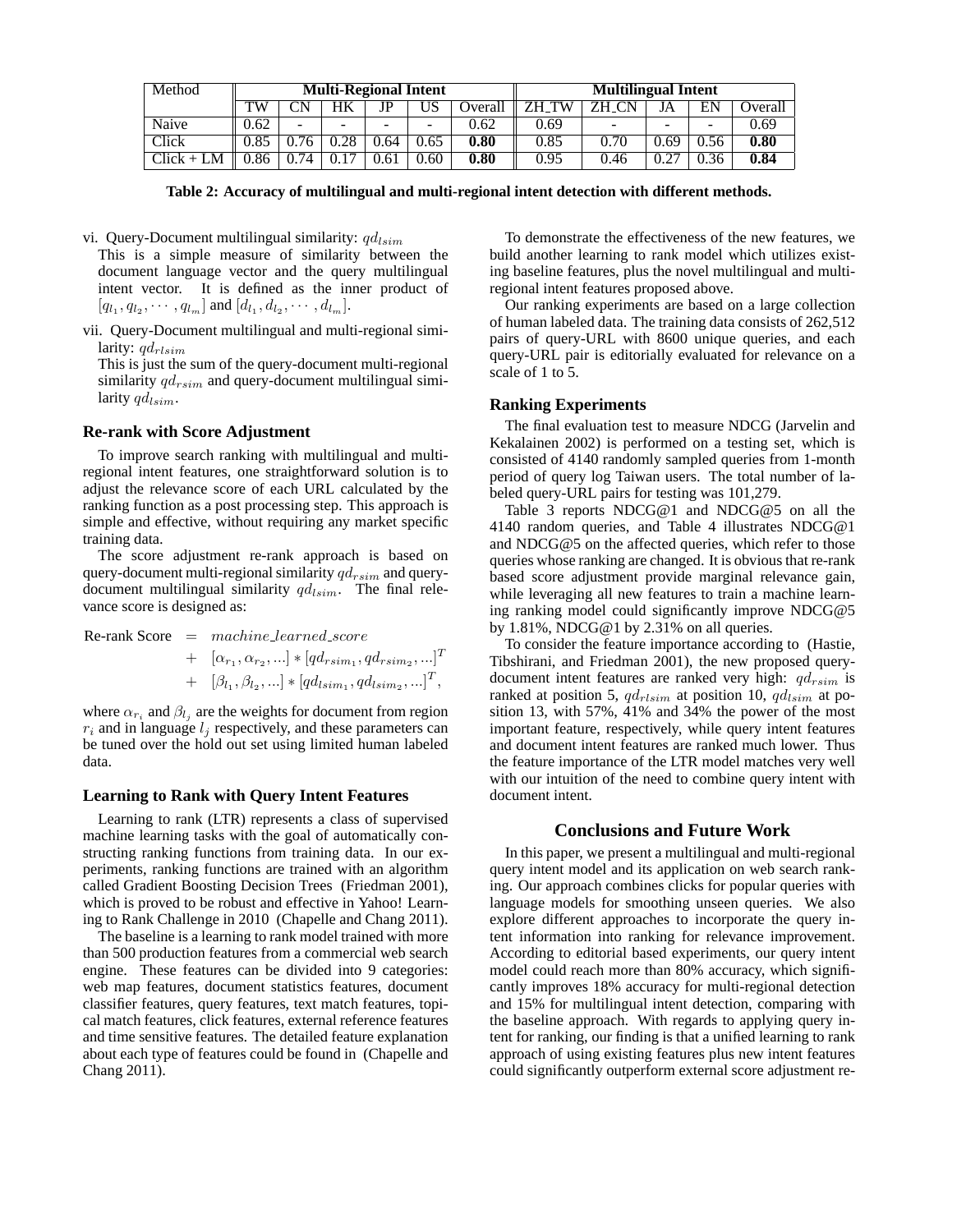| Method       | <b>Multi-Regional Intent</b> |             |                          |      |      |         | <b>Multilingual Intent</b> |      |                          |                          |         |  |
|--------------|------------------------------|-------------|--------------------------|------|------|---------|----------------------------|------|--------------------------|--------------------------|---------|--|
|              | TW                           | $^{\neg}$ N | HК                       | JP   |      | Overall | 7H<br>TW                   | 7Н   | JA                       | EN                       | Overall |  |
| Naive        | 0.62                         | -           | $\overline{\phantom{a}}$ | -    |      | 0.62    | 0.69                       |      | $\overline{\phantom{a}}$ | $\overline{\phantom{a}}$ | 0.69    |  |
| Click        | 0.85                         |             | $\gamma$                 | .64  | 0.65 | 0.80    | 0.85                       | 0.70 | 0.69                     | 0.56                     | 0.80    |  |
| $Click + LM$ | 0.86                         | 74          |                          | J.61 | 0.60 | 0.80    | 0.95                       | 0.46 | 0.27                     | 0.36                     | 0.84    |  |

**Table 2: Accuracy of multilingual and multi-regional intent detection with different methods.**

vi. Query-Document multilingual similarity:  $qdl_{sim}$ 

This is a simple measure of similarity between the document language vector and the query multilingual intent vector. It is defined as the inner product of  $[q_{l_1}, q_{l_2}, \cdots, q_{l_m}]$  and  $[d_{l_1}, d_{l_2}, \cdots, d_{l_m}]$ .

vii. Query-Document multilingual and multi-regional similarity:  $q d_{rlsim}$ 

This is just the sum of the query-document multi-regional similarity  $qd_{rsim}$  and query-document multilingual similarity  $q_{lsim}$ .

#### **Re-rank with Score Adjustment**

To improve search ranking with multilingual and multiregional intent features, one straightforward solution is to adjust the relevance score of each URL calculated by the ranking function as a post processing step. This approach is simple and effective, without requiring any market specific training data.

The score adjustment re-rank approach is based on query-document multi-regional similarity  $qd_{rsim}$  and querydocument multilingual similarity  $qdl_{sim}$ . The final relevance score is designed as:

 $Re$ -rank Score = machine\_learned\_score +  $[\alpha_{r_1}, \alpha_{r_2}, ...]\ast [qd_{rsim_1}, qd_{rsim_2}, ...]^T$ +  $[\beta_{l_1}, \beta_{l_2}, ...] * [q d_{lsim_1}, q d_{lsim_2}, ...]^T$ ,

where  $\alpha_{r_i}$  and  $\beta_{l_j}$  are the weights for document from region  $r_i$  and in language  $l_j$  respectively, and these parameters can be tuned over the hold out set using limited human labeled data.

#### **Learning to Rank with Query Intent Features**

Learning to rank (LTR) represents a class of supervised machine learning tasks with the goal of automatically constructing ranking functions from training data. In our experiments, ranking functions are trained with an algorithm called Gradient Boosting Decision Trees (Friedman 2001), which is proved to be robust and effective in Yahoo! Learning to Rank Challenge in 2010 (Chapelle and Chang 2011).

The baseline is a learning to rank model trained with more than 500 production features from a commercial web search engine. These features can be divided into 9 categories: web map features, document statistics features, document classifier features, query features, text match features, topical match features, click features, external reference features and time sensitive features. The detailed feature explanation about each type of features could be found in (Chapelle and Chang 2011).

To demonstrate the effectiveness of the new features, we build another learning to rank model which utilizes existing baseline features, plus the novel multilingual and multiregional intent features proposed above.

Our ranking experiments are based on a large collection of human labeled data. The training data consists of 262,512 pairs of query-URL with 8600 unique queries, and each query-URL pair is editorially evaluated for relevance on a scale of 1 to 5.

### **Ranking Experiments**

The final evaluation test to measure NDCG (Jarvelin and Kekalainen 2002) is performed on a testing set, which is consisted of 4140 randomly sampled queries from 1-month period of query log Taiwan users. The total number of labeled query-URL pairs for testing was 101,279.

Table 3 reports NDCG@1 and NDCG@5 on all the 4140 random queries, and Table 4 illustrates NDCG@1 and NDCG@5 on the affected queries, which refer to those queries whose ranking are changed. It is obvious that re-rank based score adjustment provide marginal relevance gain, while leveraging all new features to train a machine learning ranking model could significantly improve NDCG@5 by 1.81%, NDCG@1 by 2.31% on all queries.

To consider the feature importance according to (Hastie, Tibshirani, and Friedman 2001), the new proposed querydocument intent features are ranked very high:  $qd_{rsim}$  is ranked at position 5,  $qd_{rlsim}$  at position 10,  $qd_{lsim}$  at position 13, with 57%, 41% and 34% the power of the most important feature, respectively, while query intent features and document intent features are ranked much lower. Thus the feature importance of the LTR model matches very well with our intuition of the need to combine query intent with document intent.

## **Conclusions and Future Work**

In this paper, we present a multilingual and multi-regional query intent model and its application on web search ranking. Our approach combines clicks for popular queries with language models for smoothing unseen queries. We also explore different approaches to incorporate the query intent information into ranking for relevance improvement. According to editorial based experiments, our query intent model could reach more than 80% accuracy, which significantly improves 18% accuracy for multi-regional detection and 15% for multilingual intent detection, comparing with the baseline approach. With regards to applying query intent for ranking, our finding is that a unified learning to rank approach of using existing features plus new intent features could significantly outperform external score adjustment re-